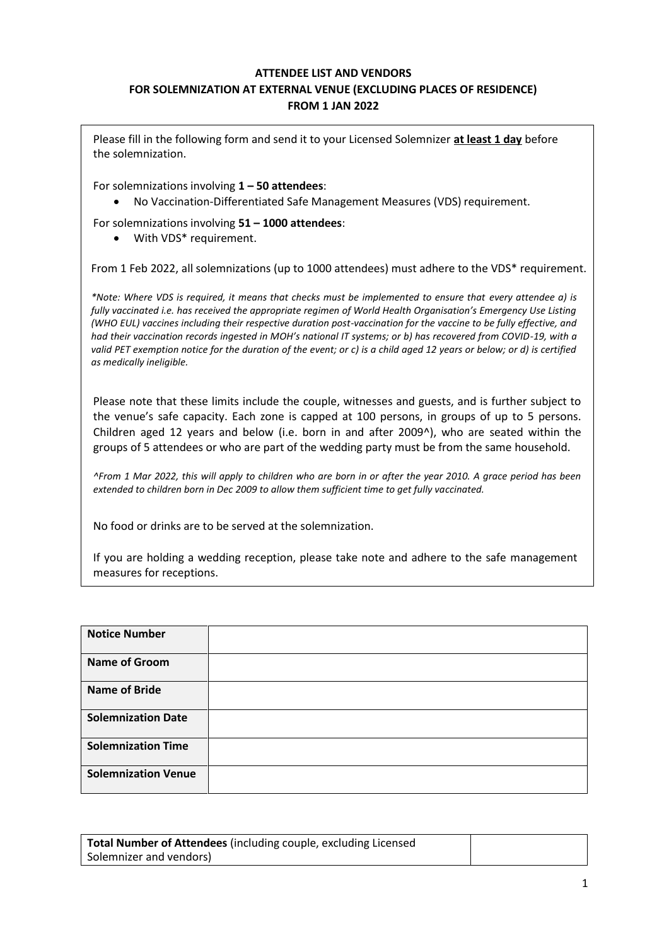## **ATTENDEE LIST AND VENDORS FOR SOLEMNIZATION AT EXTERNAL VENUE (EXCLUDING PLACES OF RESIDENCE) FROM 1 JAN 2022**

Please fill in the following form and send it to your Licensed Solemnizer **at least 1 day** before the solemnization.

For solemnizations involving **1 – 50 attendees**:

• No Vaccination-Differentiated Safe Management Measures (VDS) requirement.

For solemnizations involving **51 – 1000 attendees**:

• With VDS\* requirement.

From 1 Feb 2022, all solemnizations (up to 1000 attendees) must adhere to the VDS\* requirement.

*\*Note: Where VDS is required, it means that checks must be implemented to ensure that every attendee a) is fully vaccinated i.e. has received the appropriate regimen of World Health Organisation's Emergency Use Listing (WHO EUL) vaccines including their respective duration post-vaccination for the vaccine to be fully effective, and had their vaccination records ingested in MOH's national IT systems; or b) has recovered from COVID-19, with a valid PET exemption notice for the duration of the event; or c) is a child aged 12 years or below; or d) is certified as medically ineligible.*

Please note that these limits include the couple, witnesses and guests, and is further subject to the venue's safe capacity. Each zone is capped at 100 persons, in groups of up to 5 persons. Children aged 12 years and below (i.e. born in and after 2009^), who are seated within the groups of 5 attendees or who are part of the wedding party must be from the same household.

*^From 1 Mar 2022, this will apply to children who are born in or after the year 2010. A grace period has been extended to children born in Dec 2009 to allow them sufficient time to get fully vaccinated.*

No food or drinks are to be served at the solemnization.

If you are holding a wedding reception, please take note and adhere to the safe management measures for receptions.

| <b>Notice Number</b>       |  |
|----------------------------|--|
| <b>Name of Groom</b>       |  |
| <b>Name of Bride</b>       |  |
| <b>Solemnization Date</b>  |  |
| <b>Solemnization Time</b>  |  |
| <b>Solemnization Venue</b> |  |

| <b>Total Number of Attendees (including couple, excluding Licensed</b> |  |
|------------------------------------------------------------------------|--|
| Solemnizer and vendors)                                                |  |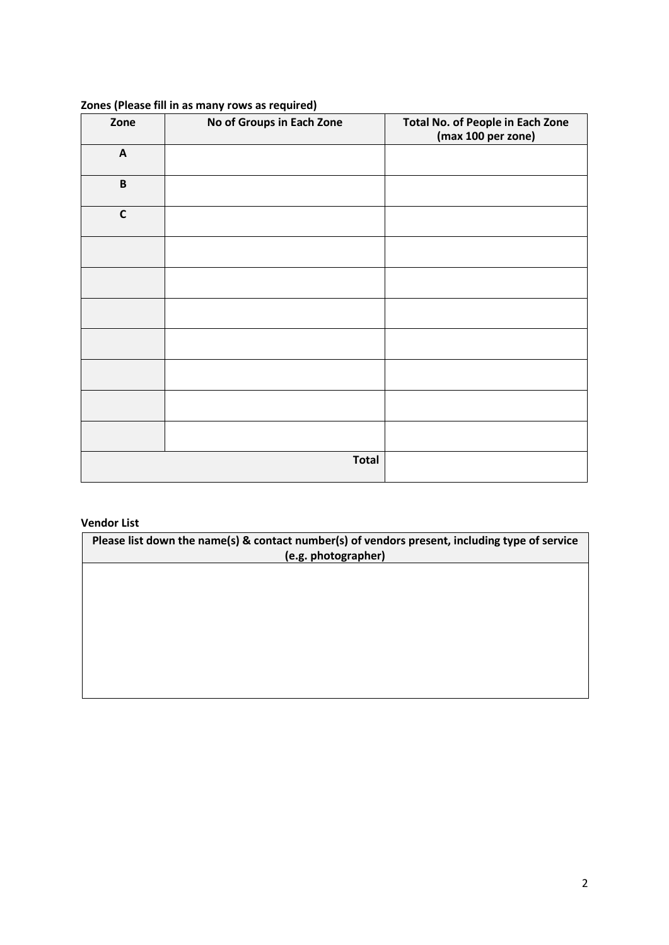| Zone                      | No of Groups in Each Zone | Total No. of People in Each Zone<br>(max 100 per zone) |
|---------------------------|---------------------------|--------------------------------------------------------|
| $\boldsymbol{\mathsf{A}}$ |                           |                                                        |
| $\, {\bf B}$              |                           |                                                        |
| $\mathbf C$               |                           |                                                        |
|                           |                           |                                                        |
|                           |                           |                                                        |
|                           |                           |                                                        |
|                           |                           |                                                        |
|                           |                           |                                                        |
|                           |                           |                                                        |
|                           |                           |                                                        |
|                           | <b>Total</b>              |                                                        |

## **Zones (Please fill in as many rows as required)**

## **Vendor List**

**Please list down the name(s) & contact number(s) of vendors present, including type of service (e.g. photographer)**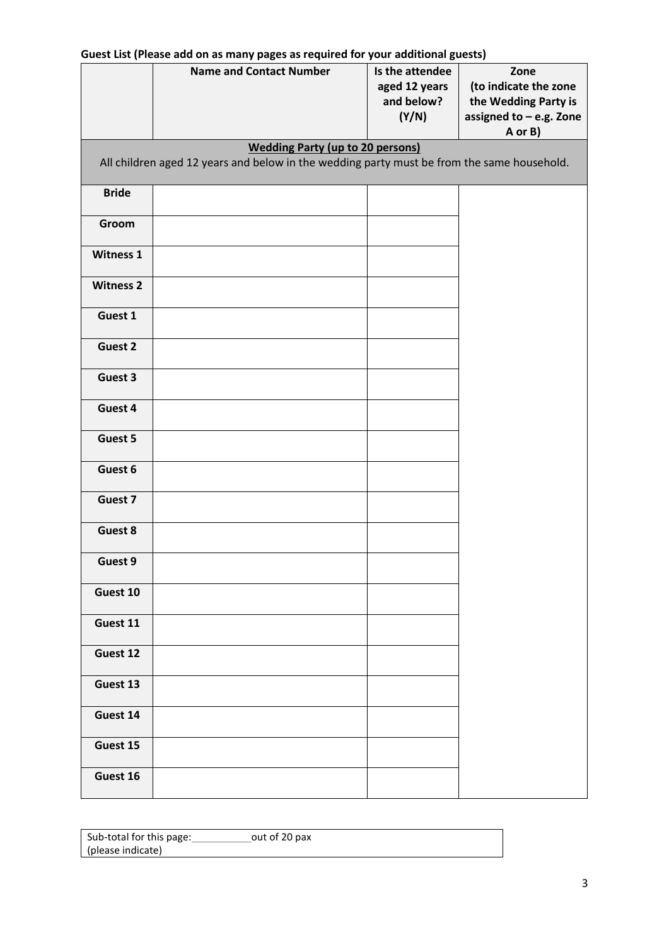|                  | Guest List (Please add on as many pages as required for your additional guests)            |                                                         |                                                                                             |
|------------------|--------------------------------------------------------------------------------------------|---------------------------------------------------------|---------------------------------------------------------------------------------------------|
|                  | <b>Name and Contact Number</b>                                                             | Is the attendee<br>aged 12 years<br>and below?<br>(Y/N) | Zone<br>(to indicate the zone<br>the Wedding Party is<br>assigned to - e.g. Zone<br>A or B) |
|                  | <b>Wedding Party (up to 20 persons)</b>                                                    |                                                         |                                                                                             |
|                  | All children aged 12 years and below in the wedding party must be from the same household. |                                                         |                                                                                             |
| <b>Bride</b>     |                                                                                            |                                                         |                                                                                             |
| Groom            |                                                                                            |                                                         |                                                                                             |
| Witness 1        |                                                                                            |                                                         |                                                                                             |
| <b>Witness 2</b> |                                                                                            |                                                         |                                                                                             |
| Guest 1          |                                                                                            |                                                         |                                                                                             |
| Guest 2          |                                                                                            |                                                         |                                                                                             |
| Guest 3          |                                                                                            |                                                         |                                                                                             |
| Guest 4          |                                                                                            |                                                         |                                                                                             |
| Guest 5          |                                                                                            |                                                         |                                                                                             |
| Guest 6          |                                                                                            |                                                         |                                                                                             |
| Guest 7          |                                                                                            |                                                         |                                                                                             |
| Guest 8          |                                                                                            |                                                         |                                                                                             |
| Guest 9          |                                                                                            |                                                         |                                                                                             |
| Guest 10         |                                                                                            |                                                         |                                                                                             |
| Guest 11         |                                                                                            |                                                         |                                                                                             |
| Guest 12         |                                                                                            |                                                         |                                                                                             |
| Guest 13         |                                                                                            |                                                         |                                                                                             |
| Guest 14         |                                                                                            |                                                         |                                                                                             |
| Guest 15         |                                                                                            |                                                         |                                                                                             |
| Guest 16         |                                                                                            |                                                         |                                                                                             |

Sub-total for this page: out of 20 pax (please indicate)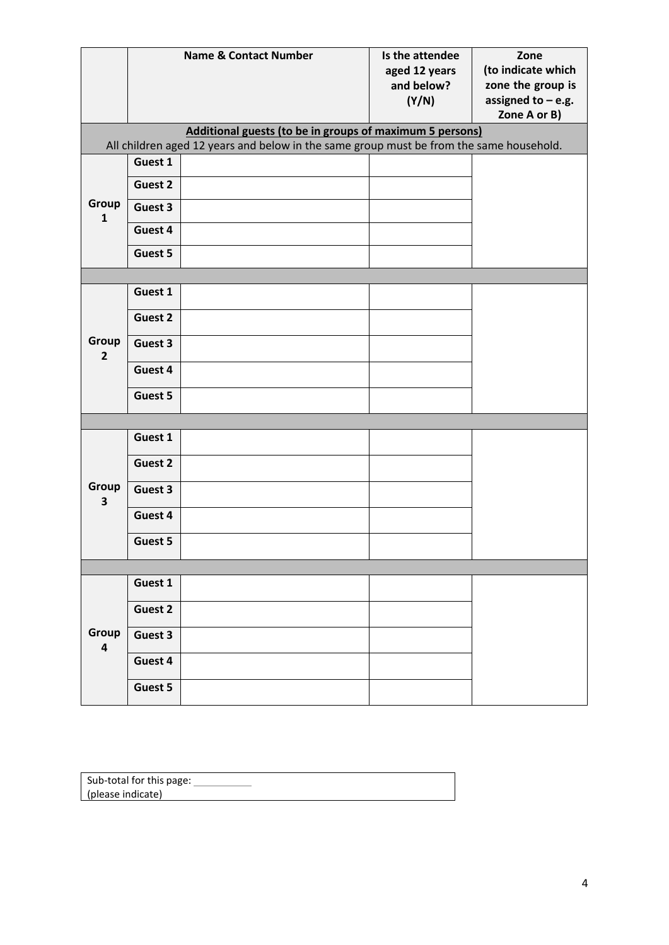|                         |         | <b>Name &amp; Contact Number</b>                                                        | Is the attendee<br>aged 12 years<br>and below?<br>(Y/N) | Zone<br>(to indicate which<br>zone the group is<br>assigned to $-$ e.g. |
|-------------------------|---------|-----------------------------------------------------------------------------------------|---------------------------------------------------------|-------------------------------------------------------------------------|
|                         |         |                                                                                         |                                                         | Zone A or B)                                                            |
|                         |         | Additional guests (to be in groups of maximum 5 persons)                                |                                                         |                                                                         |
|                         |         | All children aged 12 years and below in the same group must be from the same household. |                                                         |                                                                         |
|                         | Guest 1 |                                                                                         |                                                         |                                                                         |
|                         | Guest 2 |                                                                                         |                                                         |                                                                         |
| Group<br>$\mathbf{1}$   | Guest 3 |                                                                                         |                                                         |                                                                         |
|                         | Guest 4 |                                                                                         |                                                         |                                                                         |
|                         | Guest 5 |                                                                                         |                                                         |                                                                         |
|                         |         |                                                                                         |                                                         |                                                                         |
|                         | Guest 1 |                                                                                         |                                                         |                                                                         |
|                         | Guest 2 |                                                                                         |                                                         |                                                                         |
| Group<br>$\overline{2}$ | Guest 3 |                                                                                         |                                                         |                                                                         |
|                         | Guest 4 |                                                                                         |                                                         |                                                                         |
|                         | Guest 5 |                                                                                         |                                                         |                                                                         |
|                         |         |                                                                                         |                                                         |                                                                         |
|                         | Guest 1 |                                                                                         |                                                         |                                                                         |
|                         | Guest 2 |                                                                                         |                                                         |                                                                         |
| Group<br>3              | Guest 3 |                                                                                         |                                                         |                                                                         |
|                         | Guest 4 |                                                                                         |                                                         |                                                                         |
|                         | Guest 5 |                                                                                         |                                                         |                                                                         |
|                         |         |                                                                                         |                                                         |                                                                         |
|                         | Guest 1 |                                                                                         |                                                         |                                                                         |
|                         | Guest 2 |                                                                                         |                                                         |                                                                         |
| Group                   | Guest 3 |                                                                                         |                                                         |                                                                         |
| $\overline{\mathbf{4}}$ | Guest 4 |                                                                                         |                                                         |                                                                         |
|                         |         |                                                                                         |                                                         |                                                                         |
|                         | Guest 5 |                                                                                         |                                                         |                                                                         |

| Sub-total for this page: |
|--------------------------|
|                          |
| (please indicate)        |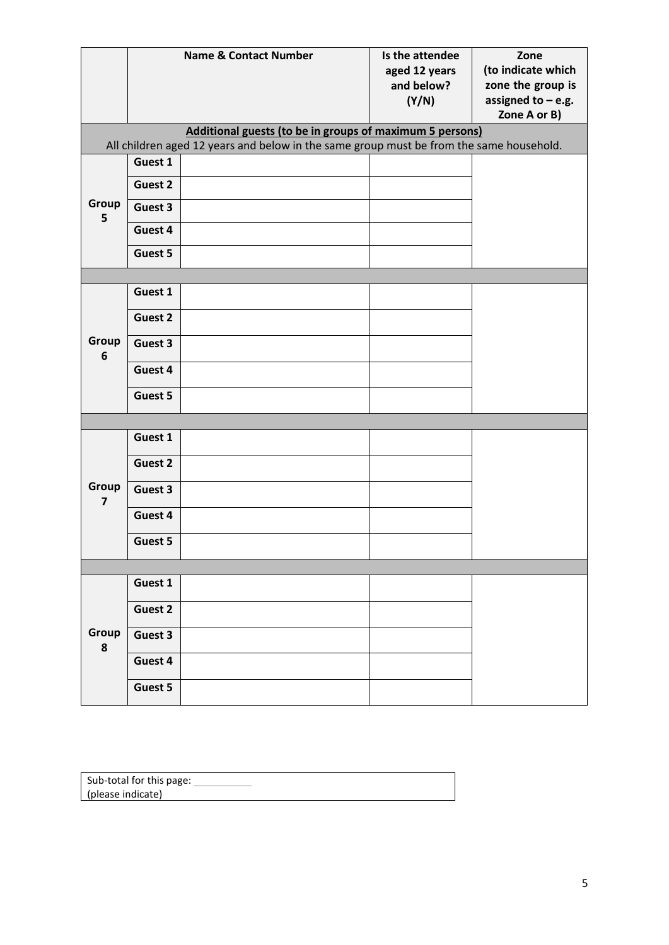|            |         | <b>Name &amp; Contact Number</b>                                                                                                                    | Is the attendee<br>aged 12 years<br>and below?<br>(Y/N) | Zone<br>(to indicate which<br>zone the group is<br>assigned to $-$ e.g.<br>Zone A or B) |
|------------|---------|-----------------------------------------------------------------------------------------------------------------------------------------------------|---------------------------------------------------------|-----------------------------------------------------------------------------------------|
|            |         | Additional guests (to be in groups of maximum 5 persons)<br>All children aged 12 years and below in the same group must be from the same household. |                                                         |                                                                                         |
|            | Guest 1 |                                                                                                                                                     |                                                         |                                                                                         |
|            | Guest 2 |                                                                                                                                                     |                                                         |                                                                                         |
| Group<br>5 | Guest 3 |                                                                                                                                                     |                                                         |                                                                                         |
|            | Guest 4 |                                                                                                                                                     |                                                         |                                                                                         |
|            | Guest 5 |                                                                                                                                                     |                                                         |                                                                                         |
|            |         |                                                                                                                                                     |                                                         |                                                                                         |
|            | Guest 1 |                                                                                                                                                     |                                                         |                                                                                         |
|            | Guest 2 |                                                                                                                                                     |                                                         |                                                                                         |
| Group<br>6 | Guest 3 |                                                                                                                                                     |                                                         |                                                                                         |
|            | Guest 4 |                                                                                                                                                     |                                                         |                                                                                         |
|            | Guest 5 |                                                                                                                                                     |                                                         |                                                                                         |
|            |         |                                                                                                                                                     |                                                         |                                                                                         |
|            | Guest 1 |                                                                                                                                                     |                                                         |                                                                                         |
|            | Guest 2 |                                                                                                                                                     |                                                         |                                                                                         |
| Group<br>7 | Guest 3 |                                                                                                                                                     |                                                         |                                                                                         |
|            | Guest 4 |                                                                                                                                                     |                                                         |                                                                                         |
|            | Guest 5 |                                                                                                                                                     |                                                         |                                                                                         |
|            |         |                                                                                                                                                     |                                                         |                                                                                         |
|            | Guest 1 |                                                                                                                                                     |                                                         |                                                                                         |
|            | Guest 2 |                                                                                                                                                     |                                                         |                                                                                         |
| Group      | Guest 3 |                                                                                                                                                     |                                                         |                                                                                         |
| ${\bf 8}$  | Guest 4 |                                                                                                                                                     |                                                         |                                                                                         |
|            | Guest 5 |                                                                                                                                                     |                                                         |                                                                                         |

| Sub-total for this page: |  |
|--------------------------|--|
| (please indicate)        |  |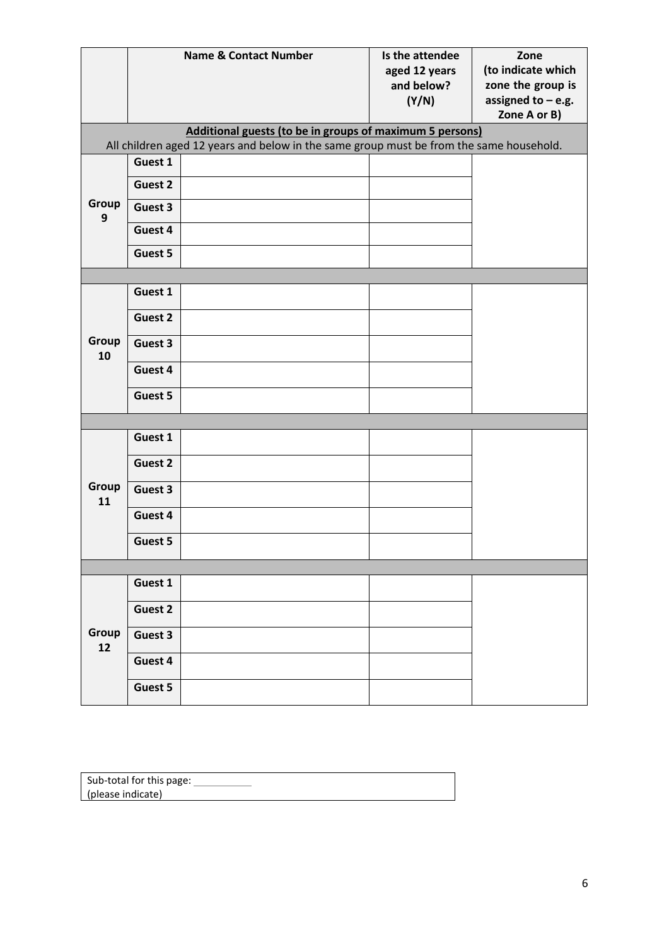|             |         | <b>Name &amp; Contact Number</b>                                                                                                                    | Is the attendee<br>aged 12 years<br>and below?<br>(Y/N) | Zone<br>(to indicate which<br>zone the group is<br>assigned to $-$ e.g.<br>Zone A or B) |
|-------------|---------|-----------------------------------------------------------------------------------------------------------------------------------------------------|---------------------------------------------------------|-----------------------------------------------------------------------------------------|
|             |         | Additional guests (to be in groups of maximum 5 persons)<br>All children aged 12 years and below in the same group must be from the same household. |                                                         |                                                                                         |
|             | Guest 1 |                                                                                                                                                     |                                                         |                                                                                         |
|             | Guest 2 |                                                                                                                                                     |                                                         |                                                                                         |
| Group<br>9  | Guest 3 |                                                                                                                                                     |                                                         |                                                                                         |
|             | Guest 4 |                                                                                                                                                     |                                                         |                                                                                         |
|             | Guest 5 |                                                                                                                                                     |                                                         |                                                                                         |
|             |         |                                                                                                                                                     |                                                         |                                                                                         |
|             | Guest 1 |                                                                                                                                                     |                                                         |                                                                                         |
|             | Guest 2 |                                                                                                                                                     |                                                         |                                                                                         |
| Group<br>10 | Guest 3 |                                                                                                                                                     |                                                         |                                                                                         |
|             | Guest 4 |                                                                                                                                                     |                                                         |                                                                                         |
|             | Guest 5 |                                                                                                                                                     |                                                         |                                                                                         |
|             |         |                                                                                                                                                     |                                                         |                                                                                         |
|             | Guest 1 |                                                                                                                                                     |                                                         |                                                                                         |
|             | Guest 2 |                                                                                                                                                     |                                                         |                                                                                         |
| Group<br>11 | Guest 3 |                                                                                                                                                     |                                                         |                                                                                         |
|             | Guest 4 |                                                                                                                                                     |                                                         |                                                                                         |
|             | Guest 5 |                                                                                                                                                     |                                                         |                                                                                         |
|             |         |                                                                                                                                                     |                                                         |                                                                                         |
|             | Guest 1 |                                                                                                                                                     |                                                         |                                                                                         |
|             | Guest 2 |                                                                                                                                                     |                                                         |                                                                                         |
| Group<br>12 | Guest 3 |                                                                                                                                                     |                                                         |                                                                                         |
|             | Guest 4 |                                                                                                                                                     |                                                         |                                                                                         |
|             | Guest 5 |                                                                                                                                                     |                                                         |                                                                                         |

| Sub-total for this page: |  |
|--------------------------|--|
| (please indicate)        |  |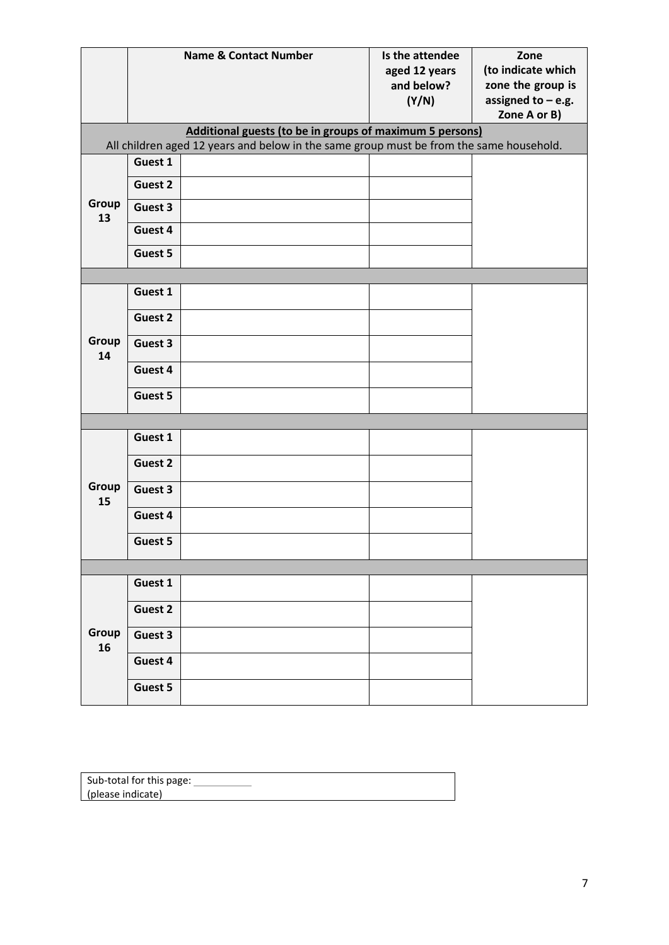|             |         | <b>Name &amp; Contact Number</b>                                                        | Is the attendee<br>aged 12 years<br>and below?<br>(Y/N) | Zone<br>(to indicate which<br>zone the group is<br>assigned to $-$ e.g. |
|-------------|---------|-----------------------------------------------------------------------------------------|---------------------------------------------------------|-------------------------------------------------------------------------|
|             |         | Additional guests (to be in groups of maximum 5 persons)                                |                                                         | Zone A or B)                                                            |
|             |         | All children aged 12 years and below in the same group must be from the same household. |                                                         |                                                                         |
|             | Guest 1 |                                                                                         |                                                         |                                                                         |
|             | Guest 2 |                                                                                         |                                                         |                                                                         |
| Group<br>13 | Guest 3 |                                                                                         |                                                         |                                                                         |
|             | Guest 4 |                                                                                         |                                                         |                                                                         |
|             | Guest 5 |                                                                                         |                                                         |                                                                         |
|             |         |                                                                                         |                                                         |                                                                         |
|             | Guest 1 |                                                                                         |                                                         |                                                                         |
| Group<br>14 | Guest 2 |                                                                                         |                                                         |                                                                         |
|             | Guest 3 |                                                                                         |                                                         |                                                                         |
|             | Guest 4 |                                                                                         |                                                         |                                                                         |
|             | Guest 5 |                                                                                         |                                                         |                                                                         |
|             |         |                                                                                         |                                                         |                                                                         |
|             | Guest 1 |                                                                                         |                                                         |                                                                         |
|             | Guest 2 |                                                                                         |                                                         |                                                                         |
| Group<br>15 | Guest 3 |                                                                                         |                                                         |                                                                         |
|             | Guest 4 |                                                                                         |                                                         |                                                                         |
|             | Guest 5 |                                                                                         |                                                         |                                                                         |
|             |         |                                                                                         |                                                         |                                                                         |
|             | Guest 1 |                                                                                         |                                                         |                                                                         |
|             | Guest 2 |                                                                                         |                                                         |                                                                         |
| Group<br>16 | Guest 3 |                                                                                         |                                                         |                                                                         |
|             | Guest 4 |                                                                                         |                                                         |                                                                         |
|             | Guest 5 |                                                                                         |                                                         |                                                                         |

| Sub-total for this page: |  |
|--------------------------|--|
| (please indicate)        |  |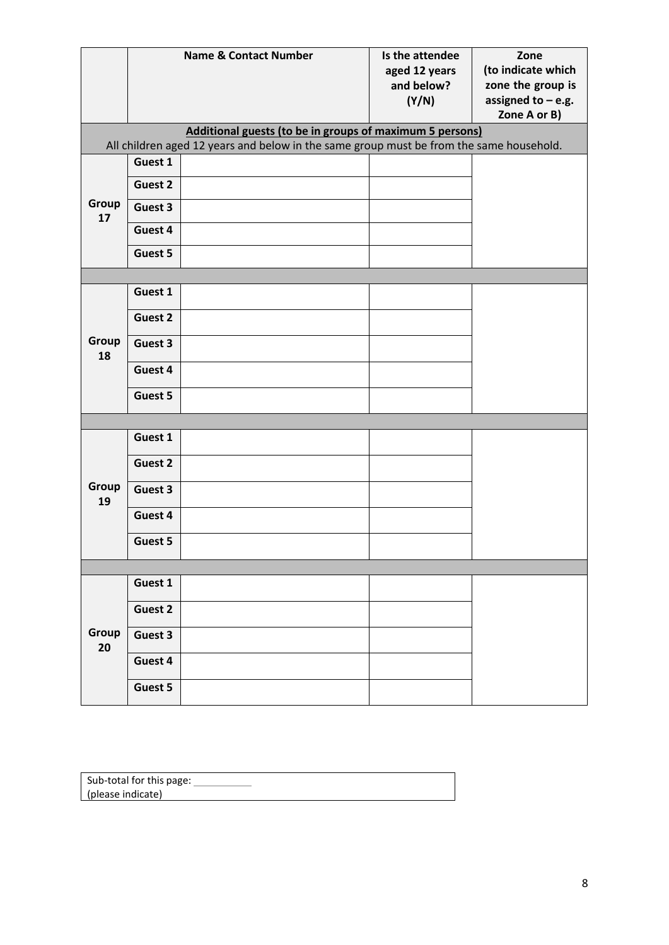|             |         | <b>Name &amp; Contact Number</b>                                                                                                                    | Is the attendee<br>aged 12 years<br>and below?<br>(Y/N) | Zone<br>(to indicate which<br>zone the group is<br>assigned to $-$ e.g.<br>Zone A or B) |
|-------------|---------|-----------------------------------------------------------------------------------------------------------------------------------------------------|---------------------------------------------------------|-----------------------------------------------------------------------------------------|
|             |         | Additional guests (to be in groups of maximum 5 persons)<br>All children aged 12 years and below in the same group must be from the same household. |                                                         |                                                                                         |
| Group<br>17 | Guest 1 |                                                                                                                                                     |                                                         |                                                                                         |
|             | Guest 2 |                                                                                                                                                     |                                                         |                                                                                         |
|             | Guest 3 |                                                                                                                                                     |                                                         |                                                                                         |
|             | Guest 4 |                                                                                                                                                     |                                                         |                                                                                         |
|             | Guest 5 |                                                                                                                                                     |                                                         |                                                                                         |
|             |         |                                                                                                                                                     |                                                         |                                                                                         |
| Group<br>18 | Guest 1 |                                                                                                                                                     |                                                         |                                                                                         |
|             | Guest 2 |                                                                                                                                                     |                                                         |                                                                                         |
|             | Guest 3 |                                                                                                                                                     |                                                         |                                                                                         |
|             | Guest 4 |                                                                                                                                                     |                                                         |                                                                                         |
|             | Guest 5 |                                                                                                                                                     |                                                         |                                                                                         |
|             |         |                                                                                                                                                     |                                                         |                                                                                         |
|             | Guest 1 |                                                                                                                                                     |                                                         |                                                                                         |
|             | Guest 2 |                                                                                                                                                     |                                                         |                                                                                         |
| Group<br>19 | Guest 3 |                                                                                                                                                     |                                                         |                                                                                         |
|             | Guest 4 |                                                                                                                                                     |                                                         |                                                                                         |
|             | Guest 5 |                                                                                                                                                     |                                                         |                                                                                         |
|             |         |                                                                                                                                                     |                                                         |                                                                                         |
|             | Guest 1 |                                                                                                                                                     |                                                         |                                                                                         |
| Group<br>20 | Guest 2 |                                                                                                                                                     |                                                         |                                                                                         |
|             | Guest 3 |                                                                                                                                                     |                                                         |                                                                                         |
|             | Guest 4 |                                                                                                                                                     |                                                         |                                                                                         |
|             | Guest 5 |                                                                                                                                                     |                                                         |                                                                                         |

| Sub-total for this page: |  |
|--------------------------|--|
| (please indicate)        |  |